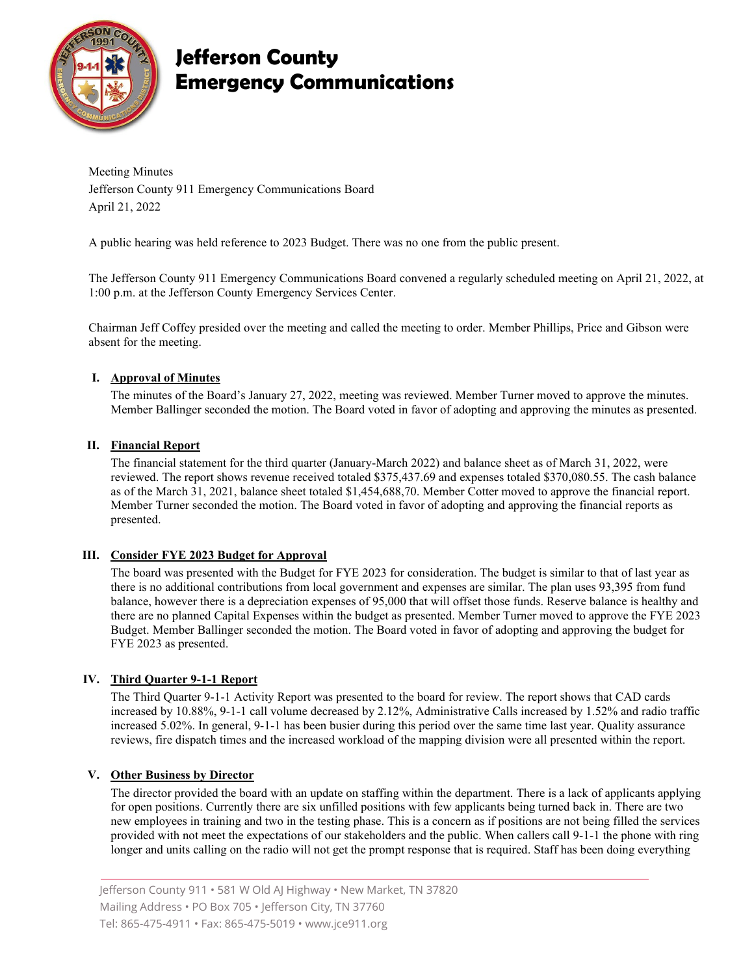

# **Jefferson County Emergency Communications**

Meeting Minutes Jefferson County 911 Emergency Communications Board April 21, 2022

A public hearing was held reference to 2023 Budget. There was no one from the public present.

The Jefferson County 911 Emergency Communications Board convened a regularly scheduled meeting on April 21, 2022, at 1:00 p.m. at the Jefferson County Emergency Services Center.

Chairman Jeff Coffey presided over the meeting and called the meeting to order. Member Phillips, Price and Gibson were absent for the meeting.

### **I. Approval of Minutes**

The minutes of the Board's January 27, 2022, meeting was reviewed. Member Turner moved to approve the minutes. Member Ballinger seconded the motion. The Board voted in favor of adopting and approving the minutes as presented.

### **II. Financial Report**

The financial statement for the third quarter (January-March 2022) and balance sheet as of March 31, 2022, were reviewed. The report shows revenue received totaled \$375,437.69 and expenses totaled \$370,080.55. The cash balance as of the March 31, 2021, balance sheet totaled \$1,454,688,70. Member Cotter moved to approve the financial report. Member Turner seconded the motion. The Board voted in favor of adopting and approving the financial reports as presented.

### **III. Consider FYE 2023 Budget for Approval**

The board was presented with the Budget for FYE 2023 for consideration. The budget is similar to that of last year as there is no additional contributions from local government and expenses are similar. The plan uses 93,395 from fund balance, however there is a depreciation expenses of 95,000 that will offset those funds. Reserve balance is healthy and there are no planned Capital Expenses within the budget as presented. Member Turner moved to approve the FYE 2023 Budget. Member Ballinger seconded the motion. The Board voted in favor of adopting and approving the budget for FYE 2023 as presented.

### **IV. Third Quarter 9-1-1 Report**

The Third Quarter 9-1-1 Activity Report was presented to the board for review. The report shows that CAD cards increased by 10.88%, 9-1-1 call volume decreased by 2.12%, Administrative Calls increased by 1.52% and radio traffic increased 5.02%. In general, 9-1-1 has been busier during this period over the same time last year. Quality assurance reviews, fire dispatch times and the increased workload of the mapping division were all presented within the report.

### **V. Other Business by Director**

The director provided the board with an update on staffing within the department. There is a lack of applicants applying for open positions. Currently there are six unfilled positions with few applicants being turned back in. There are two new employees in training and two in the testing phase. This is a concern as if positions are not being filled the services provided with not meet the expectations of our stakeholders and the public. When callers call 9-1-1 the phone with ring longer and units calling on the radio will not get the prompt response that is required. Staff has been doing everything